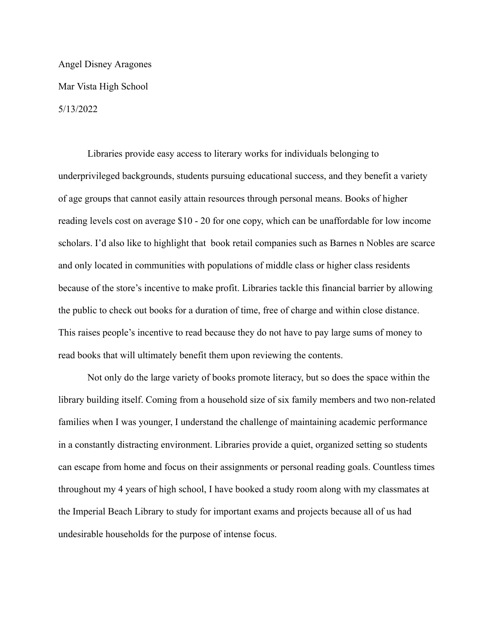## Angel Disney Aragones Mar Vista High School 5/13/2022

Libraries provide easy access to literary works for individuals belonging to underprivileged backgrounds, students pursuing educational success, and they benefit a variety of age groups that cannot easily attain resources through personal means. Books of higher reading levels cost on average \$10 - 20 for one copy, which can be unaffordable for low income scholars. I'd also like to highlight that book retail companies such as Barnes n Nobles are scarce and only located in communities with populations of middle class or higher class residents because of the store's incentive to make profit. Libraries tackle this financial barrier by allowing the public to check out books for a duration of time, free of charge and within close distance. This raises people's incentive to read because they do not have to pay large sums of money to read books that will ultimately benefit them upon reviewing the contents.

Not only do the large variety of books promote literacy, but so does the space within the library building itself. Coming from a household size of six family members and two non-related families when I was younger, I understand the challenge of maintaining academic performance in a constantly distracting environment. Libraries provide a quiet, organized setting so students can escape from home and focus on their assignments or personal reading goals. Countless times throughout my 4 years of high school, I have booked a study room along with my classmates at the Imperial Beach Library to study for important exams and projects because all of us had undesirable households for the purpose of intense focus.